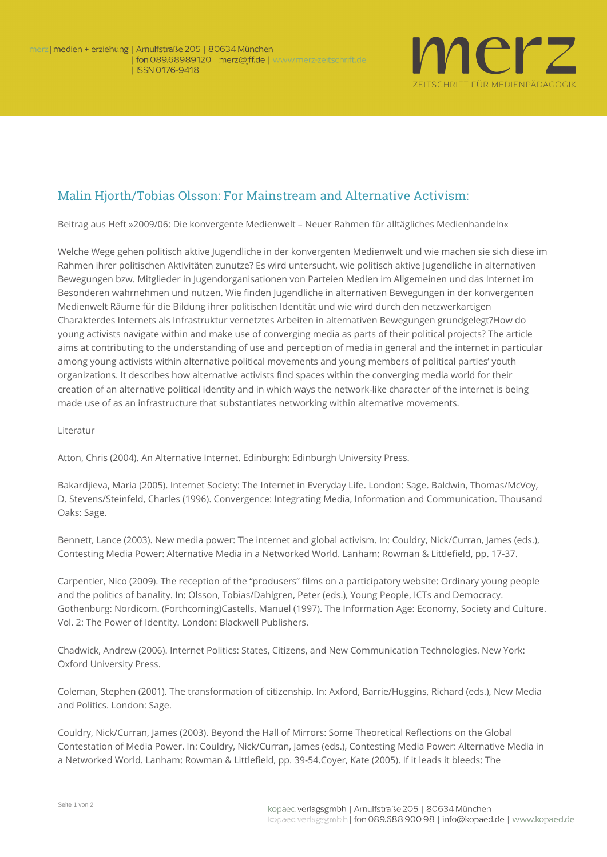

## Malin Hjorth/Tobias Olsson: For Mainstream and Alternative Activism:

**Beitrag aus Heft »2009/06: Die konvergente Medienwelt – Neuer Rahmen für alltägliches Medienhandeln«**

Welche Wege gehen politisch aktive Jugendliche in der konvergenten Medienwelt und wie machen sie sich diese im Rahmen ihrer politischen Aktivitäten zunutze? Es wird untersucht, wie politisch aktive Jugendliche in alternativen Bewegungen bzw. Mitglieder in Jugendorganisationen von Parteien Medien im Allgemeinen und das Internet im Besonderen wahrnehmen und nutzen. Wie finden Jugendliche in alternativen Bewegungen in der konvergenten Medienwelt Räume für die Bildung ihrer politischen Identität und wie wird durch den netzwerkartigen Charakterdes Internets als Infrastruktur vernetztes Arbeiten in alternativen Bewegungen grundgelegt?How do young activists navigate within and make use of converging media as parts of their political projects? The article aims at contributing to the understanding of use and perception of media in general and the internet in particular among young activists within alternative political movements and young members of political parties' youth organizations. It describes how alternative activists find spaces within the converging media world for their creation of an alternative political identity and in which ways the network-like character of the internet is being made use of as an infrastructure that substantiates networking within alternative movements.

**Literatur**

Atton, Chris (2004). An Alternative Internet. Edinburgh: Edinburgh University Press.

Bakardjieva, Maria (2005). Internet Society: The Internet in Everyday Life. London: Sage. Baldwin, Thomas/McVoy, D. Stevens/Steinfeld, Charles (1996). Convergence: Integrating Media, Information and Communication. Thousand Oaks: Sage.

Bennett, Lance (2003). New media power: The internet and global activism. In: Couldry, Nick/Curran, James (eds.), Contesting Media Power: Alternative Media in a Networked World. Lanham: Rowman & Littlefield, pp. 17-37.

Carpentier, Nico (2009). The reception of the "produsers" films on a participatory website: Ordinary young people and the politics of banality. In: Olsson, Tobias/Dahlgren, Peter (eds.), Young People, ICTs and Democracy. Gothenburg: Nordicom. (Forthcoming)Castells, Manuel (1997). The Information Age: Economy, Society and Culture. Vol. 2: The Power of Identity. London: Blackwell Publishers.

Chadwick, Andrew (2006). Internet Politics: States, Citizens, and New Communication Technologies. New York: Oxford University Press.

Coleman, Stephen (2001). The transformation of citizenship. In: Axford, Barrie/Huggins, Richard (eds.), New Media and Politics. London: Sage.

Couldry, Nick/Curran, James (2003). Beyond the Hall of Mirrors: Some Theoretical Reflections on the Global Contestation of Media Power. In: Couldry, Nick/Curran, James (eds.), Contesting Media Power: Alternative Media in a Networked World. Lanham: Rowman & Littlefield, pp. 39-54.Coyer, Kate (2005). If it leads it bleeds: The